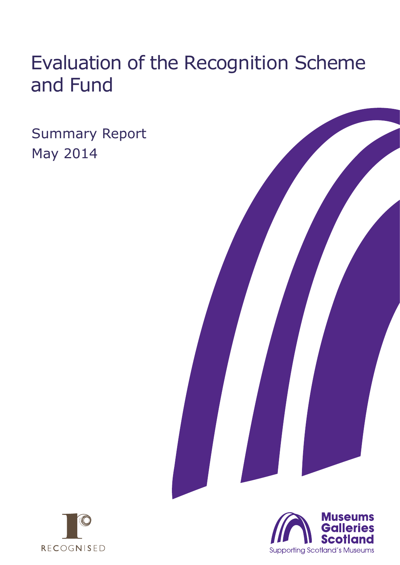# Evaluation of the Recognition Scheme and Fund

Summary Report May 2014





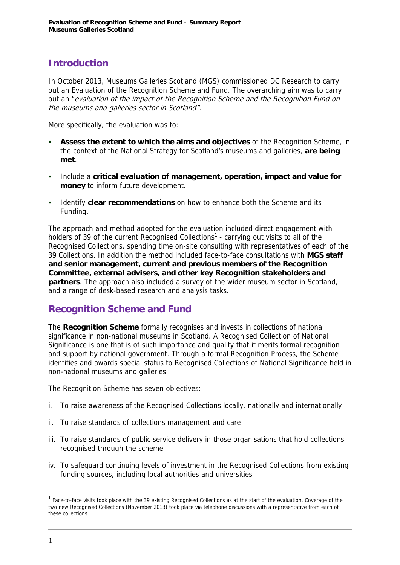## **Introduction**

In October 2013, Museums Galleries Scotland (MGS) commissioned DC Research to carry out an Evaluation of the Recognition Scheme and Fund. The overarching aim was to carry out an "evaluation of the impact of the Recognition Scheme and the Recognition Fund on the museums and galleries sector in Scotland".

More specifically, the evaluation was to:

- **Assess the extent to which the aims and objectives** of the Recognition Scheme, in the context of the National Strategy for Scotland's museums and galleries, **are being met**.
- Include a **critical evaluation of management, operation, impact and value for money** to inform future development.
- Identify **clear recommendations** on how to enhance both the Scheme and its Funding.

The approach and method adopted for the evaluation included direct engagement with holders of 39 of the current Recognised Collections<sup>1</sup> - carrying out visits to all of the Recognised Collections, spending time on-site consulting with representatives of each of the 39 Collections. In addition the method included face-to-face consultations with **MGS staff and senior management, current and previous members of the Recognition Committee, external advisers, and other key Recognition stakeholders and partners**. The approach also included a survey of the wider museum sector in Scotland, and a range of desk-based research and analysis tasks.

#### **Recognition Scheme and Fund**

The **Recognition Scheme** formally recognises and invests in collections of national significance in non-national museums in Scotland. A Recognised Collection of National Significance is one that is of such importance and quality that it merits formal recognition and support by national government. Through a formal Recognition Process, the Scheme identifies and awards special status to Recognised Collections of National Significance held in non-national museums and galleries.

The Recognition Scheme has seven objectives:

- i. To raise awareness of the Recognised Collections locally, nationally and internationally
- ii. To raise standards of collections management and care
- iii. To raise standards of public service delivery in those organisations that hold collections recognised through the scheme
- iv. To safeguard continuing levels of investment in the Recognised Collections from existing funding sources, including local authorities and universities

<sup>&</sup>lt;sup>1</sup> Face-to-face visits took place with the 39 existing Recognised Collections as at the start of the evaluation. Coverage of the two new Recognised Collections (November 2013) took place via telephone discussions with a representative from each of these collections.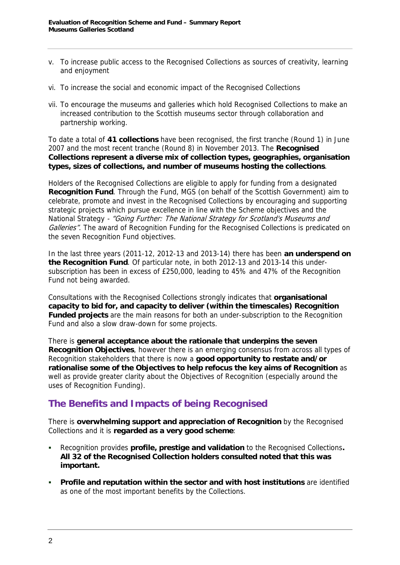- v. To increase public access to the Recognised Collections as sources of creativity, learning and enjoyment
- vi. To increase the social and economic impact of the Recognised Collections
- vii. To encourage the museums and galleries which hold Recognised Collections to make an increased contribution to the Scottish museums sector through collaboration and partnership working.

To date a total of **41 collections** have been recognised, the first tranche (Round 1) in June 2007 and the most recent tranche (Round 8) in November 2013. The **Recognised Collections represent a diverse mix of collection types, geographies, organisation types, sizes of collections, and number of museums hosting the collections**.

Holders of the Recognised Collections are eligible to apply for funding from a designated **Recognition Fund**. Through the Fund, MGS (on behalf of the Scottish Government) aim to celebrate, promote and invest in the Recognised Collections by encouraging and supporting strategic projects which pursue excellence in line with the Scheme objectives and the National Strategy - "Going Further: The National Strategy for Scotland's Museums and Galleries". The award of Recognition Funding for the Recognised Collections is predicated on the seven Recognition Fund objectives.

In the last three years (2011-12, 2012-13 and 2013-14) there has been **an underspend on the Recognition Fund**. Of particular note, in both 2012-13 and 2013-14 this undersubscription has been in excess of £250,000, leading to 45% and 47% of the Recognition Fund not being awarded.

Consultations with the Recognised Collections strongly indicates that **organisational capacity to bid for, and capacity to deliver (within the timescales) Recognition Funded projects** are the main reasons for both an under-subscription to the Recognition Fund and also a slow draw-down for some projects.

There is **general acceptance about the rationale that underpins the seven Recognition Objectives**, however there is an emerging consensus from across all types of Recognition stakeholders that there is now a **good opportunity to restate and/or rationalise some of the Objectives to help refocus the key aims of Recognition** as well as provide greater clarity about the Objectives of Recognition (especially around the uses of Recognition Funding).

#### **The Benefits and Impacts of being Recognised**

There is **overwhelming support and appreciation of Recognition** by the Recognised Collections and it is **regarded as a very good scheme**:

- Recognition provides **profile, prestige and validation** to the Recognised Collections**. All 32 of the Recognised Collection holders consulted noted that this was important.**
- **Profile and reputation within the sector and with host institutions** are identified as one of the most important benefits by the Collections.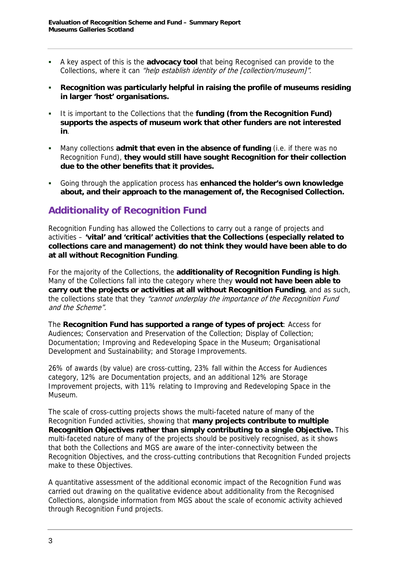- A key aspect of this is the **advocacy tool** that being Recognised can provide to the Collections, where it can "help establish identity of the [collection/museum]".
- **Recognition was particularly helpful in raising the profile of museums residing in larger 'host' organisations.**
- It is important to the Collections that the **funding (from the Recognition Fund) supports the aspects of museum work that other funders are not interested in**.
- Many collections **admit that even in the absence of funding** (i.e. if there was no Recognition Fund), **they would still have sought Recognition for their collection due to the other benefits that it provides.**
- Going through the application process has **enhanced the holder's own knowledge about, and their approach to the management of, the Recognised Collection.**

## **Additionality of Recognition Fund**

Recognition Funding has allowed the Collections to carry out a range of projects and activities – **'vital' and 'critical' activities that the Collections (especially related to collections care and management) do not think they would have been able to do at all without Recognition Funding**.

For the majority of the Collections, the **additionality of Recognition Funding is high**. Many of the Collections fall into the category where they **would not have been able to carry out the projects or activities at all without Recognition Funding**, and as such, the collections state that they "cannot underplay the importance of the Recognition Fund and the Scheme".

The **Recognition Fund has supported a range of types of project**: Access for Audiences; Conservation and Preservation of the Collection; Display of Collection; Documentation; Improving and Redeveloping Space in the Museum; Organisational Development and Sustainability; and Storage Improvements.

26% of awards (by value) are cross-cutting, 23% fall within the Access for Audiences category, 12% are Documentation projects, and an additional 12% are Storage Improvement projects, with 11% relating to Improving and Redeveloping Space in the Museum.

The scale of cross-cutting projects shows the multi-faceted nature of many of the Recognition Funded activities, showing that **many projects contribute to multiple Recognition Objectives rather than simply contributing to a single Objective.** This multi-faceted nature of many of the projects should be positively recognised, as it shows that both the Collections and MGS are aware of the inter-connectivity between the Recognition Objectives, and the cross-cutting contributions that Recognition Funded projects make to these Objectives.

A quantitative assessment of the additional economic impact of the Recognition Fund was carried out drawing on the qualitative evidence about additionality from the Recognised Collections, alongside information from MGS about the scale of economic activity achieved through Recognition Fund projects.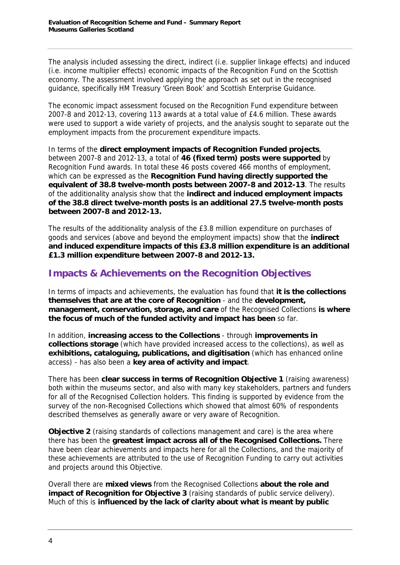The analysis included assessing the direct, indirect (i.e. supplier linkage effects) and induced (i.e. income multiplier effects) economic impacts of the Recognition Fund on the Scottish economy. The assessment involved applying the approach as set out in the recognised guidance, specifically HM Treasury 'Green Book' and Scottish Enterprise Guidance.

The economic impact assessment focused on the Recognition Fund expenditure between 2007-8 and 2012-13, covering 113 awards at a total value of £4.6 million. These awards were used to support a wide variety of projects, and the analysis sought to separate out the employment impacts from the procurement expenditure impacts.

In terms of the **direct employment impacts of Recognition Funded projects**, between 2007-8 and 2012-13, a total of **46 (fixed term) posts were supported** by Recognition Fund awards. In total these 46 posts covered 466 months of employment, which can be expressed as the **Recognition Fund having directly supported the equivalent of 38.8 twelve-month posts between 2007-8 and 2012-13**. The results of the additionality analysis show that the **indirect and induced employment impacts of the 38.8 direct twelve-month posts is an additional 27.5 twelve-month posts between 2007-8 and 2012-13.**

The results of the additionality analysis of the £3.8 million expenditure on purchases of goods and services (above and beyond the employment impacts) show that the **indirect and induced expenditure impacts of this £3.8 million expenditure is an additional £1.3 million expenditure between 2007-8 and 2012-13.**

## **Impacts & Achievements on the Recognition Objectives**

In terms of impacts and achievements, the evaluation has found that **it is the collections themselves that are at the core of Recognition** - and the **development, management, conservation, storage, and care** of the Recognised Collections **is where the focus of much of the funded activity and impact has been** so far.

In addition, **increasing access to the Collections** - through **improvements in collections storage** (which have provided increased access to the collections), as well as **exhibitions, cataloguing, publications, and digitisation** (which has enhanced online access) - has also been a **key area of activity and impact**.

There has been **clear success in terms of Recognition Objective 1** (raising awareness) both within the museums sector, and also with many key stakeholders, partners and funders for all of the Recognised Collection holders. This finding is supported by evidence from the survey of the non-Recognised Collections which showed that almost 60% of respondents described themselves as generally aware or very aware of Recognition.

**Objective 2** (raising standards of collections management and care) is the area where there has been the **greatest impact across all of the Recognised Collections.** There have been clear achievements and impacts here for all the Collections, and the majority of these achievements are attributed to the use of Recognition Funding to carry out activities and projects around this Objective.

Overall there are **mixed views** from the Recognised Collections **about the role and impact of Recognition for Objective 3** (raising standards of public service delivery). Much of this is **influenced by the lack of clarity about what is meant by public**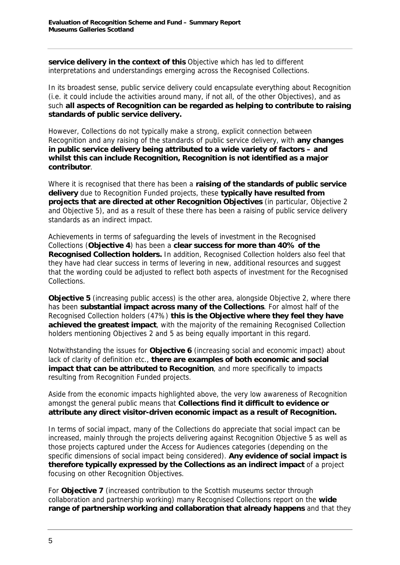**service delivery in the context of this** Objective which has led to different interpretations and understandings emerging across the Recognised Collections.

In its broadest sense, public service delivery could encapsulate everything about Recognition (i.e. it could include the activities around many, if not all, of the other Objectives), and as such **all aspects of Recognition can be regarded as helping to contribute to raising standards of public service delivery.**

However, Collections do not typically make a strong, explicit connection between Recognition and any raising of the standards of public service delivery, with **any changes in public service delivery being attributed to a wide variety of factors – and whilst this can include Recognition, Recognition is not identified as a major contributor**.

Where it is recognised that there has been a **raising of the standards of public service delivery** due to Recognition Funded projects, these **typically have resulted from projects that are directed at other Recognition Objectives** (in particular, Objective 2 and Objective 5), and as a result of these there has been a raising of public service delivery standards as an indirect impact.

Achievements in terms of safeguarding the levels of investment in the Recognised Collections (**Objective 4**) has been a **clear success for more than 40% of the Recognised Collection holders.** In addition, Recognised Collection holders also feel that they have had clear success in terms of levering in new, additional resources and suggest that the wording could be adjusted to reflect both aspects of investment for the Recognised Collections.

**Objective 5** (increasing public access) is the other area, alongside Objective 2, where there has been **substantial impact across many of the Collections**. For almost half of the Recognised Collection holders (47%) **this is the Objective where they feel they have achieved the greatest impact**, with the majority of the remaining Recognised Collection holders mentioning Objectives 2 and 5 as being equally important in this regard.

Notwithstanding the issues for **Objective 6** (increasing social and economic impact) about lack of clarity of definition etc., **there are examples of both economic and social impact that can be attributed to Recognition**, and more specifically to impacts resulting from Recognition Funded projects.

Aside from the economic impacts highlighted above, the very low awareness of Recognition amongst the general public means that **Collections find it difficult to evidence or attribute any direct visitor-driven economic impact as a result of Recognition.** 

In terms of social impact, many of the Collections do appreciate that social impact can be increased, mainly through the projects delivering against Recognition Objective 5 as well as those projects captured under the Access for Audiences categories (depending on the specific dimensions of social impact being considered). **Any evidence of social impact is therefore typically expressed by the Collections as an indirect impact** of a project focusing on other Recognition Objectives.

For **Objective 7** (increased contribution to the Scottish museums sector through collaboration and partnership working) many Recognised Collections report on the **wide range of partnership working and collaboration that already happens** and that they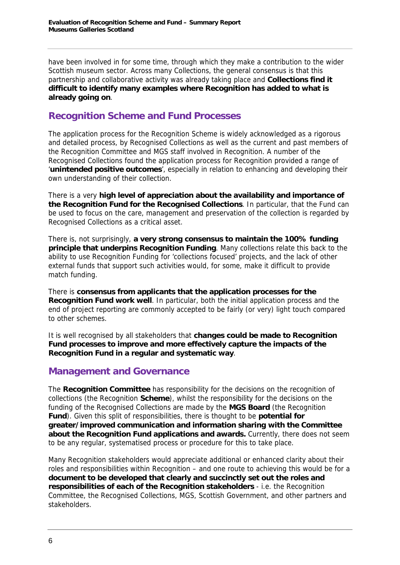have been involved in for some time, through which they make a contribution to the wider Scottish museum sector. Across many Collections, the general consensus is that this partnership and collaborative activity was already taking place and **Collections find it difficult to identify many examples where Recognition has added to what is already going on**.

#### **Recognition Scheme and Fund Processes**

The application process for the Recognition Scheme is widely acknowledged as a rigorous and detailed process, by Recognised Collections as well as the current and past members of the Recognition Committee and MGS staff involved in Recognition. A number of the Recognised Collections found the application process for Recognition provided a range of '**unintended positive outcomes**', especially in relation to enhancing and developing their own understanding of their collection.

There is a very **high level of appreciation about the availability and importance of the Recognition Fund for the Recognised Collections**. In particular, that the Fund can be used to focus on the care, management and preservation of the collection is regarded by Recognised Collections as a critical asset.

There is, not surprisingly, **a very strong consensus to maintain the 100% funding principle that underpins Recognition Funding**. Many collections relate this back to the ability to use Recognition Funding for 'collections focused' projects, and the lack of other external funds that support such activities would, for some, make it difficult to provide match funding.

There is **consensus from applicants that the application processes for the Recognition Fund work well**. In particular, both the initial application process and the end of project reporting are commonly accepted to be fairly (or very) light touch compared to other schemes.

It is well recognised by all stakeholders that **changes could be made to Recognition Fund processes to improve and more effectively capture the impacts of the Recognition Fund in a regular and systematic way**.

#### **Management and Governance**

The **Recognition Committee** has responsibility for the decisions on the recognition of collections (the Recognition **Scheme**), whilst the responsibility for the decisions on the funding of the Recognised Collections are made by the **MGS Board** (the Recognition **Fund**). Given this split of responsibilities, there is thought to be **potential for greater/improved communication and information sharing with the Committee about the Recognition Fund applications and awards.** Currently, there does not seem to be any regular, systematised process or procedure for this to take place.

Many Recognition stakeholders would appreciate additional or enhanced clarity about their roles and responsibilities within Recognition – and one route to achieving this would be for a **document to be developed that clearly and succinctly set out the roles and responsibilities of each of the Recognition stakeholders** - i.e. the Recognition Committee, the Recognised Collections, MGS, Scottish Government, and other partners and stakeholders.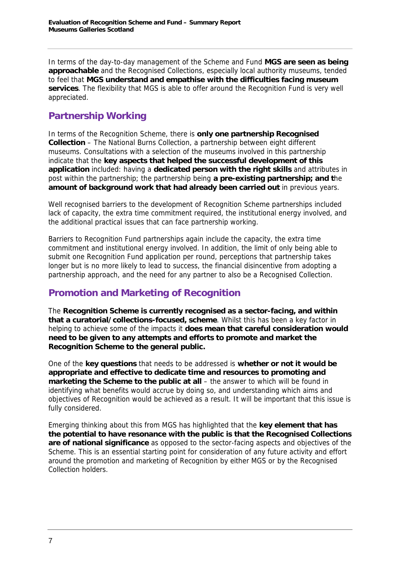In terms of the day-to-day management of the Scheme and Fund **MGS are seen as being approachable** and the Recognised Collections, especially local authority museums, tended to feel that **MGS understand and empathise with the difficulties facing museum services**. The flexibility that MGS is able to offer around the Recognition Fund is very well appreciated.

# **Partnership Working**

In terms of the Recognition Scheme, there is **only one partnership Recognised Collection** – The National Burns Collection, a partnership between eight different museums. Consultations with a selection of the museums involved in this partnership indicate that the **key aspects that helped the successful development of this application** included: having a **dedicated person with the right skills** and attributes in post within the partnership; the partnership being **a pre-existing partnership; and t**he **amount of background work that had already been carried out** in previous years.

Well recognised barriers to the development of Recognition Scheme partnerships included lack of capacity, the extra time commitment required, the institutional energy involved, and the additional practical issues that can face partnership working.

Barriers to Recognition Fund partnerships again include the capacity, the extra time commitment and institutional energy involved. In addition, the limit of only being able to submit one Recognition Fund application per round, perceptions that partnership takes longer but is no more likely to lead to success, the financial disincentive from adopting a partnership approach, and the need for any partner to also be a Recognised Collection.

# **Promotion and Marketing of Recognition**

The **Recognition Scheme is currently recognised as a sector-facing, and within that a curatorial/collections-focused, scheme**. Whilst this has been a key factor in helping to achieve some of the impacts it **does mean that careful consideration would need to be given to any attempts and efforts to promote and market the Recognition Scheme to the general public.**

One of the **key questions** that needs to be addressed is **whether or not it would be appropriate and effective to dedicate time and resources to promoting and marketing the Scheme to the public at all** – the answer to which will be found in identifying what benefits would accrue by doing so, and understanding which aims and objectives of Recognition would be achieved as a result. It will be important that this issue is fully considered.

Emerging thinking about this from MGS has highlighted that the **key element that has the potential to have resonance with the public is that the Recognised Collections are of national significance** as opposed to the sector-facing aspects and objectives of the Scheme. This is an essential starting point for consideration of any future activity and effort around the promotion and marketing of Recognition by either MGS or by the Recognised Collection holders.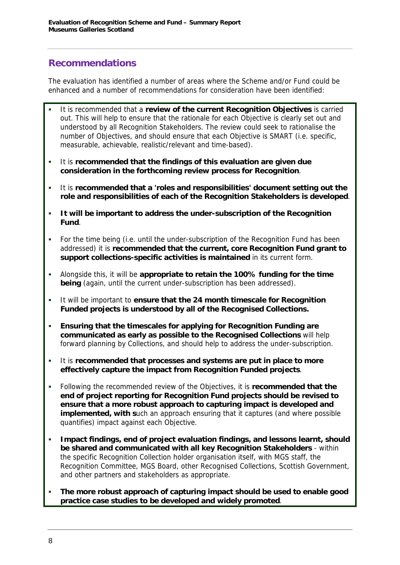#### **Recommendations**

The evaluation has identified a number of areas where the Scheme and/or Fund could be enhanced and a number of recommendations for consideration have been identified:

- It is recommended that a **review of the current Recognition Objectives** is carried out. This will help to ensure that the rationale for each Objective is clearly set out and understood by all Recognition Stakeholders. The review could seek to rationalise the number of Objectives, and should ensure that each Objective is SMART (i.e. specific, measurable, achievable, realistic/relevant and time-based).
- It is **recommended that the findings of this evaluation are given due consideration in the forthcoming review process for Recognition**.
- It is **recommended that a 'roles and responsibilities' document setting out the role and responsibilities of each of the Recognition Stakeholders is developed**.
- **It will be important to address the under-subscription of the Recognition Fund**.
- For the time being (i.e. until the under-subscription of the Recognition Fund has been addressed) it is **recommended that the current, core Recognition Fund grant to support collections-specific activities is maintained** in its current form.
- Alongside this, it will be **appropriate to retain the 100% funding for the time being** (again, until the current under-subscription has been addressed).
- It will be important to **ensure that the 24 month timescale for Recognition Funded projects is understood by all of the Recognised Collections.**
- **Ensuring that the timescales for applying for Recognition Funding are communicated as early as possible to the Recognised Collections** will help forward planning by Collections, and should help to address the under-subscription.
- It is **recommended that processes and systems are put in place to more effectively capture the impact from Recognition Funded projects**.
- Following the recommended review of the Objectives, it is **recommended that the end of project reporting for Recognition Fund projects should be revised to ensure that a more robust approach to capturing impact is developed and implemented, with s**uch an approach ensuring that it captures (and where possible quantifies) impact against each Objective.
- **Impact findings, end of project evaluation findings, and lessons learnt, should be shared and communicated with all key Recognition Stakeholders** - within the specific Recognition Collection holder organisation itself, with MGS staff, the Recognition Committee, MGS Board, other Recognised Collections, Scottish Government, and other partners and stakeholders as appropriate.
- **The more robust approach of capturing impact should be used to enable good practice case studies to be developed and widely promoted**.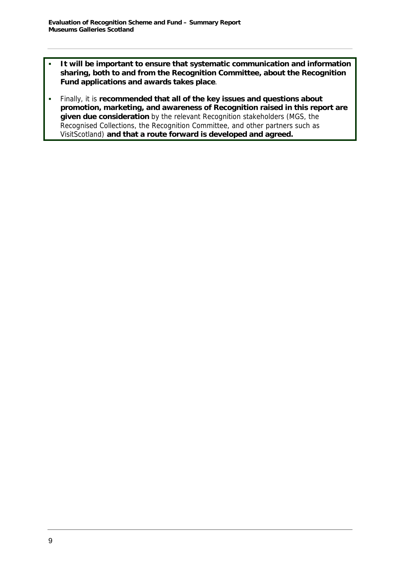- **It will be important to ensure that systematic communication and information sharing, both to and from the Recognition Committee, about the Recognition Fund applications and awards takes place**.
- Finally, it is **recommended that all of the key issues and questions about promotion, marketing, and awareness of Recognition raised in this report are given due consideration** by the relevant Recognition stakeholders (MGS, the Recognised Collections, the Recognition Committee, and other partners such as VisitScotland) **and that a route forward is developed and agreed.**